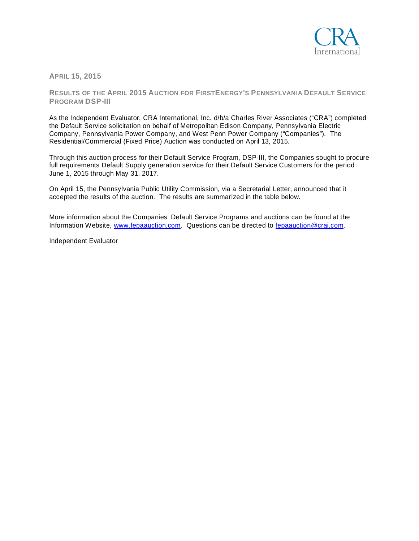

**APRIL 15, 2015**

**RESULTS OF THE APRIL 2015 AUCTION FOR FIRSTENERGY'S PENNSYLVANIA DEFAULT SERVICE PROGRAM DSP-III**

As the Independent Evaluator, CRA International, Inc. d/b/a Charles River Associates ("CRA") completed the Default Service solicitation on behalf of Metropolitan Edison Company, Pennsylvania Electric Company, Pennsylvania Power Company, and West Penn Power Company ("Companies"). The Residential/Commercial (Fixed Price) Auction was conducted on April 13, 2015.

Through this auction process for their Default Service Program, DSP-III, the Companies sought to procure full requirements Default Supply generation service for their Default Service Customers for the period June 1, 2015 through May 31, 2017.

On April 15, the Pennsylvania Public Utility Commission, via a Secretarial Letter, announced that it accepted the results of the auction. The results are summarized in the table below.

More information about the Companies' Default Service Programs and auctions can be found at the Information Website, [www.fepaauction.com.](http://www.fepaauction.com/) Questions can be directed to [fepaauction@crai.com.](mailto:fepaauction@crai.com)

Independent Evaluator